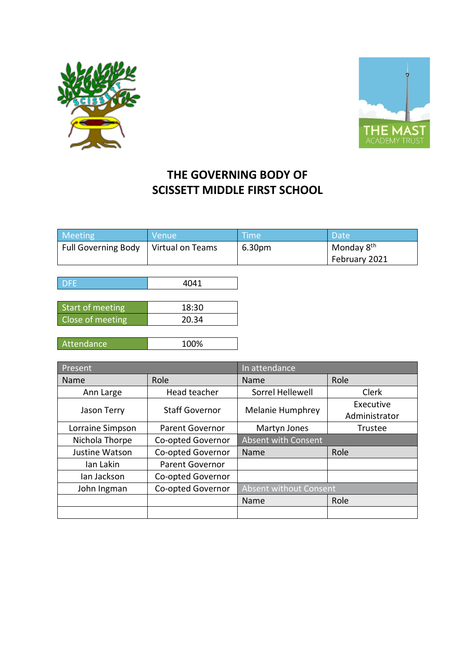



## **THE GOVERNING BODY OF SCISSETT MIDDLE FIRST SCHOOL**

| Meeting                                | <b>Nenue</b> | <b>Time</b> | <b>Date</b>            |
|----------------------------------------|--------------|-------------|------------------------|
| Full Governing Body   Virtual on Teams |              | 6.30pm      | Monday 8 <sup>th</sup> |
|                                        |              |             | February 2021          |

| <b>DFE</b>       | 4041   |
|------------------|--------|
|                  |        |
| Start of meeting | 18:30  |
| Close of meeting | 20.34  |
|                  |        |
| .                | 1000 L |

| Attendance | 100% |
|------------|------|
|            |      |

| Present          |                        | In attendance              |                            |
|------------------|------------------------|----------------------------|----------------------------|
| Name             | Role                   | Name                       | Role                       |
| Ann Large        | Head teacher           | Sorrel Hellewell           | <b>Clerk</b>               |
| Jason Terry      | <b>Staff Governor</b>  | Melanie Humphrey           | Executive<br>Administrator |
| Lorraine Simpson | <b>Parent Governor</b> | Martyn Jones               | Trustee                    |
| Nichola Thorpe   | Co-opted Governor      | <b>Absent with Consent</b> |                            |
| Justine Watson   | Co-opted Governor      | Name                       | Role                       |
| Ian Lakin        | Parent Governor        |                            |                            |
| lan Jackson      | Co-opted Governor      |                            |                            |
| John Ingman      | Co-opted Governor      | Absent without Consent     |                            |
|                  |                        | Name                       | Role                       |
|                  |                        |                            |                            |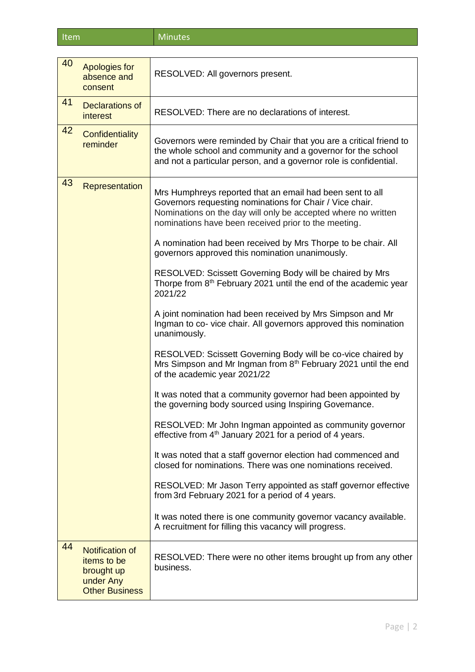Item Minutes

| 40 | Apologies for<br>absence and<br>consent                                                   | RESOLVED: All governors present.                                                                                                                                                                                                               |
|----|-------------------------------------------------------------------------------------------|------------------------------------------------------------------------------------------------------------------------------------------------------------------------------------------------------------------------------------------------|
| 41 | Declarations of<br><i>interest</i>                                                        | RESOLVED: There are no declarations of interest.                                                                                                                                                                                               |
| 42 | Confidentiality<br>reminder                                                               | Governors were reminded by Chair that you are a critical friend to<br>the whole school and community and a governor for the school<br>and not a particular person, and a governor role is confidential.                                        |
| 43 | Representation                                                                            | Mrs Humphreys reported that an email had been sent to all<br>Governors requesting nominations for Chair / Vice chair.<br>Nominations on the day will only be accepted where no written<br>nominations have been received prior to the meeting. |
|    |                                                                                           | A nomination had been received by Mrs Thorpe to be chair. All<br>governors approved this nomination unanimously.                                                                                                                               |
|    |                                                                                           | RESOLVED: Scissett Governing Body will be chaired by Mrs<br>Thorpe from 8 <sup>th</sup> February 2021 until the end of the academic year<br>2021/22                                                                                            |
|    |                                                                                           | A joint nomination had been received by Mrs Simpson and Mr<br>Ingman to co-vice chair. All governors approved this nomination<br>unanimously.                                                                                                  |
|    |                                                                                           | RESOLVED: Scissett Governing Body will be co-vice chaired by<br>Mrs Simpson and Mr Ingman from 8 <sup>th</sup> February 2021 until the end<br>of the academic year 2021/22                                                                     |
|    |                                                                                           | It was noted that a community governor had been appointed by<br>the governing body sourced using Inspiring Governance.                                                                                                                         |
|    |                                                                                           | RESOLVED: Mr John Ingman appointed as community governor<br>effective from 4 <sup>th</sup> January 2021 for a period of 4 years.                                                                                                               |
|    |                                                                                           | It was noted that a staff governor election had commenced and<br>closed for nominations. There was one nominations received.                                                                                                                   |
|    |                                                                                           | RESOLVED: Mr Jason Terry appointed as staff governor effective<br>from 3rd February 2021 for a period of 4 years.                                                                                                                              |
|    |                                                                                           | It was noted there is one community governor vacancy available.<br>A recruitment for filling this vacancy will progress.                                                                                                                       |
| 44 | <b>Notification of</b><br>items to be<br>brought up<br>under Any<br><b>Other Business</b> | RESOLVED: There were no other items brought up from any other<br>business.                                                                                                                                                                     |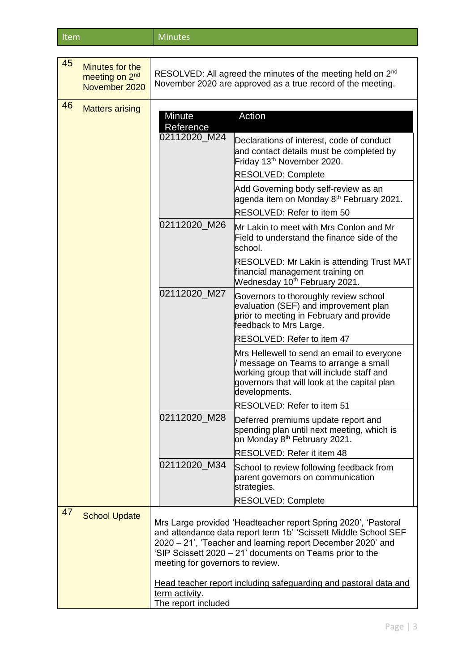| ltem | <b>Minutes</b> |
|------|----------------|
|      |                |

| 45 | Minutes for the<br>meeting on 2 <sup>nd</sup><br>November 2020 | RESOLVED: All agreed the minutes of the meeting held on 2 <sup>nd</sup><br>November 2020 are approved as a true record of the meeting.                                                                                                                                                           |                                                                                                                                                                                                 |
|----|----------------------------------------------------------------|--------------------------------------------------------------------------------------------------------------------------------------------------------------------------------------------------------------------------------------------------------------------------------------------------|-------------------------------------------------------------------------------------------------------------------------------------------------------------------------------------------------|
| 46 | <b>Matters arising</b>                                         |                                                                                                                                                                                                                                                                                                  |                                                                                                                                                                                                 |
|    |                                                                | Minute                                                                                                                                                                                                                                                                                           | Action                                                                                                                                                                                          |
|    |                                                                | Reference                                                                                                                                                                                                                                                                                        |                                                                                                                                                                                                 |
|    |                                                                | 02112020_M24                                                                                                                                                                                                                                                                                     | Declarations of interest, code of conduct<br>and contact details must be completed by<br>Friday 13 <sup>th</sup> November 2020.                                                                 |
|    |                                                                |                                                                                                                                                                                                                                                                                                  | RESOLVED: Complete                                                                                                                                                                              |
|    |                                                                |                                                                                                                                                                                                                                                                                                  | Add Governing body self-review as an<br>agenda item on Monday 8 <sup>th</sup> February 2021.                                                                                                    |
|    |                                                                |                                                                                                                                                                                                                                                                                                  | RESOLVED: Refer to item 50                                                                                                                                                                      |
|    |                                                                | 02112020_M26                                                                                                                                                                                                                                                                                     | Mr Lakin to meet with Mrs Conlon and Mr<br>Field to understand the finance side of the<br>school.                                                                                               |
|    |                                                                |                                                                                                                                                                                                                                                                                                  | <b>RESOLVED: Mr Lakin is attending Trust MAT</b><br>financial management training on<br>Wednesday 10 <sup>th</sup> February 2021.                                                               |
|    |                                                                | 02112020_M27                                                                                                                                                                                                                                                                                     | Governors to thoroughly review school<br>evaluation (SEF) and improvement plan<br>prior to meeting in February and provide<br>feedback to Mrs Large.                                            |
|    |                                                                |                                                                                                                                                                                                                                                                                                  | RESOLVED: Refer to item 47                                                                                                                                                                      |
|    |                                                                |                                                                                                                                                                                                                                                                                                  | Mrs Hellewell to send an email to everyone<br>message on Teams to arrange a small<br>working group that will include staff and<br>governors that will look at the capital plan<br>developments. |
|    |                                                                |                                                                                                                                                                                                                                                                                                  | RESOLVED: Refer to item 51                                                                                                                                                                      |
|    |                                                                | 02112020_M28                                                                                                                                                                                                                                                                                     | Deferred premiums update report and<br>spending plan until next meeting, which is<br>on Monday 8 <sup>th</sup> February 2021.                                                                   |
|    |                                                                |                                                                                                                                                                                                                                                                                                  | RESOLVED: Refer it item 48                                                                                                                                                                      |
|    |                                                                | 02112020 M34                                                                                                                                                                                                                                                                                     | School to review following feedback from<br>parent governors on communication<br>strategies.                                                                                                    |
|    |                                                                |                                                                                                                                                                                                                                                                                                  | <b>RESOLVED: Complete</b>                                                                                                                                                                       |
| 47 | <b>School Update</b>                                           | Mrs Large provided 'Headteacher report Spring 2020', 'Pastoral<br>and attendance data report term 1b' 'Scissett Middle School SEF<br>2020 - 21', 'Teacher and learning report December 2020' and<br>'SIP Scissett 2020 - 21' documents on Teams prior to the<br>meeting for governors to review. |                                                                                                                                                                                                 |
|    |                                                                | term activity.                                                                                                                                                                                                                                                                                   | Head teacher report including safeguarding and pastoral data and                                                                                                                                |
|    |                                                                | The report included                                                                                                                                                                                                                                                                              |                                                                                                                                                                                                 |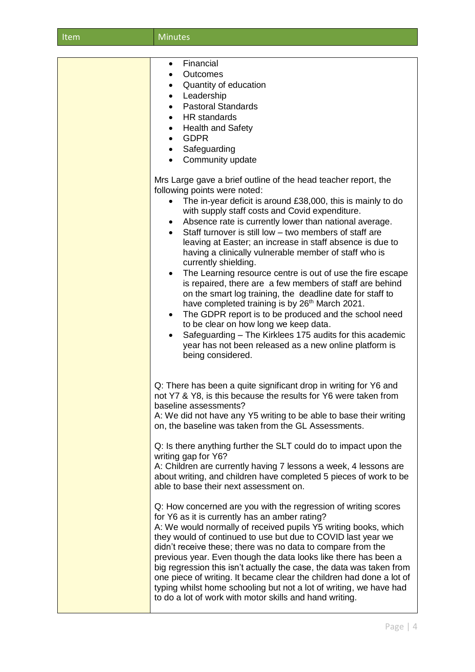| Item | <b>Minutes</b>                                                                                                                                                                                                                                                                                                                                                                                                                                                                                                                                                                                                                                                                                                                                                                                                                                                                                                                                                                                                                                                                                                                                                                                                                                    |
|------|---------------------------------------------------------------------------------------------------------------------------------------------------------------------------------------------------------------------------------------------------------------------------------------------------------------------------------------------------------------------------------------------------------------------------------------------------------------------------------------------------------------------------------------------------------------------------------------------------------------------------------------------------------------------------------------------------------------------------------------------------------------------------------------------------------------------------------------------------------------------------------------------------------------------------------------------------------------------------------------------------------------------------------------------------------------------------------------------------------------------------------------------------------------------------------------------------------------------------------------------------|
|      |                                                                                                                                                                                                                                                                                                                                                                                                                                                                                                                                                                                                                                                                                                                                                                                                                                                                                                                                                                                                                                                                                                                                                                                                                                                   |
|      | Financial<br>$\bullet$<br>Outcomes<br>Quantity of education<br>Leadership<br>$\bullet$<br><b>Pastoral Standards</b><br>$\bullet$<br><b>HR</b> standards<br>$\bullet$<br><b>Health and Safety</b><br>$\bullet$<br><b>GDPR</b><br>$\bullet$<br>Safeguarding<br>$\bullet$<br>Community update                                                                                                                                                                                                                                                                                                                                                                                                                                                                                                                                                                                                                                                                                                                                                                                                                                                                                                                                                        |
|      | Mrs Large gave a brief outline of the head teacher report, the<br>following points were noted:<br>The in-year deficit is around £38,000, this is mainly to do<br>with supply staff costs and Covid expenditure.<br>Absence rate is currently lower than national average.<br>Staff turnover is still low - two members of staff are<br>leaving at Easter; an increase in staff absence is due to<br>having a clinically vulnerable member of staff who is<br>currently shielding.<br>The Learning resource centre is out of use the fire escape<br>$\bullet$<br>is repaired, there are a few members of staff are behind<br>on the smart log training, the deadline date for staff to<br>have completed training is by 26 <sup>th</sup> March 2021.<br>The GDPR report is to be produced and the school need<br>٠<br>to be clear on how long we keep data.<br>Safeguarding - The Kirklees 175 audits for this academic<br>year has not been released as a new online platform is<br>being considered.                                                                                                                                                                                                                                             |
|      | Q: There has been a quite significant drop in writing for Y6 and<br>not Y7 & Y8, is this because the results for Y6 were taken from<br>baseline assessments?<br>A: We did not have any Y5 writing to be able to base their writing<br>on, the baseline was taken from the GL Assessments.<br>Q: Is there anything further the SLT could do to impact upon the<br>writing gap for Y6?<br>A: Children are currently having 7 lessons a week, 4 lessons are<br>about writing, and children have completed 5 pieces of work to be<br>able to base their next assessment on.<br>Q: How concerned are you with the regression of writing scores<br>for Y6 as it is currently has an amber rating?<br>A: We would normally of received pupils Y5 writing books, which<br>they would of continued to use but due to COVID last year we<br>didn't receive these; there was no data to compare from the<br>previous year. Even though the data looks like there has been a<br>big regression this isn't actually the case, the data was taken from<br>one piece of writing. It became clear the children had done a lot of<br>typing whilst home schooling but not a lot of writing, we have had<br>to do a lot of work with motor skills and hand writing. |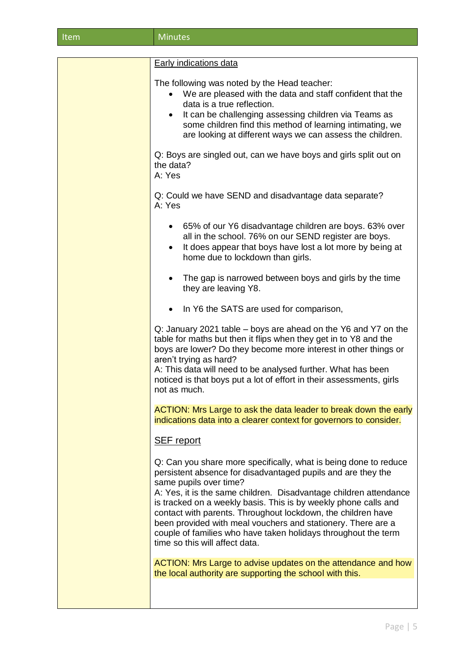|--|

| <b>Early indications data</b>                                                                                                                                                                                                                                                                                                                                                                                                                                                                                                          |
|----------------------------------------------------------------------------------------------------------------------------------------------------------------------------------------------------------------------------------------------------------------------------------------------------------------------------------------------------------------------------------------------------------------------------------------------------------------------------------------------------------------------------------------|
| The following was noted by the Head teacher:<br>We are pleased with the data and staff confident that the<br>data is a true reflection.<br>It can be challenging assessing children via Teams as<br>$\bullet$<br>some children find this method of learning intimating, we<br>are looking at different ways we can assess the children.                                                                                                                                                                                                |
| Q: Boys are singled out, can we have boys and girls split out on<br>the data?<br>A: Yes                                                                                                                                                                                                                                                                                                                                                                                                                                                |
| Q: Could we have SEND and disadvantage data separate?<br>A: Yes                                                                                                                                                                                                                                                                                                                                                                                                                                                                        |
| 65% of our Y6 disadvantage children are boys. 63% over<br>$\bullet$<br>all in the school. 76% on our SEND register are boys.<br>It does appear that boys have lost a lot more by being at<br>$\bullet$<br>home due to lockdown than girls.                                                                                                                                                                                                                                                                                             |
| The gap is narrowed between boys and girls by the time<br>$\bullet$<br>they are leaving Y8.                                                                                                                                                                                                                                                                                                                                                                                                                                            |
| In Y6 the SATS are used for comparison,                                                                                                                                                                                                                                                                                                                                                                                                                                                                                                |
| Q: January 2021 table – boys are ahead on the Y6 and Y7 on the<br>table for maths but then it flips when they get in to Y8 and the<br>boys are lower? Do they become more interest in other things or<br>aren't trying as hard?<br>A: This data will need to be analysed further. What has been<br>noticed is that boys put a lot of effort in their assessments, girls<br>not as much.                                                                                                                                                |
| ACTION: Mrs Large to ask the data leader to break down the early<br>indications data into a clearer context for governors to consider.                                                                                                                                                                                                                                                                                                                                                                                                 |
| <b>SEF</b> report                                                                                                                                                                                                                                                                                                                                                                                                                                                                                                                      |
| Q: Can you share more specifically, what is being done to reduce<br>persistent absence for disadvantaged pupils and are they the<br>same pupils over time?<br>A: Yes, it is the same children. Disadvantage children attendance<br>is tracked on a weekly basis. This is by weekly phone calls and<br>contact with parents. Throughout lockdown, the children have<br>been provided with meal vouchers and stationery. There are a<br>couple of families who have taken holidays throughout the term<br>time so this will affect data. |
| ACTION: Mrs Large to advise updates on the attendance and how<br>the local authority are supporting the school with this.                                                                                                                                                                                                                                                                                                                                                                                                              |
|                                                                                                                                                                                                                                                                                                                                                                                                                                                                                                                                        |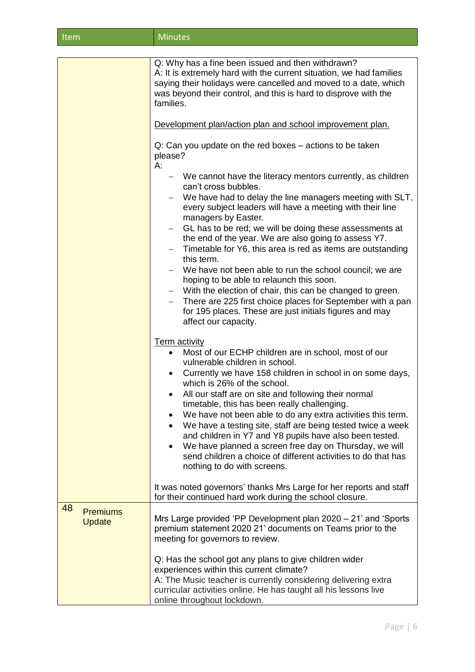| Item | Minutes |
|------|---------|
|------|---------|

|                                 | Q: Why has a fine been issued and then withdrawn?<br>A: It is extremely hard with the current situation, we had families<br>saying their holidays were cancelled and moved to a date, which<br>was beyond their control, and this is hard to disprove with the<br>families.<br>Development plan/action plan and school improvement plan.<br>Q: Can you update on the red boxes – actions to be taken<br>please?<br>А:<br>We cannot have the literacy mentors currently, as children<br>can't cross bubbles.<br>We have had to delay the line managers meeting with SLT,<br>every subject leaders will have a meeting with their line<br>managers by Easter.<br>GL has to be red; we will be doing these assessments at<br>$\qquad \qquad -$<br>the end of the year. We are also going to assess Y7.<br>Timetable for Y6, this area is red as items are outstanding<br>this term.<br>We have not been able to run the school council; we are<br>hoping to be able to relaunch this soon.<br>With the election of chair, this can be changed to green.<br>$\qquad \qquad -$<br>There are 225 first choice places for September with a pan<br>$\overline{\phantom{m}}$<br>for 195 places. These are just initials figures and may<br>affect our capacity.<br><b>Term activity</b><br>Most of our ECHP children are in school, most of our<br>vulnerable children in school.<br>Currently we have 158 children in school in on some days,<br>$\bullet$<br>which is 26% of the school.<br>All our staff are on site and following their normal<br>timetable, this has been really challenging.<br>We have not been able to do any extra activities this term.<br>We have a testing site, staff are being tested twice a week<br>and children in Y7 and Y8 pupils have also been tested.<br>We have planned a screen free day on Thursday, we will<br>send children a choice of different activities to do that has<br>nothing to do with screens.<br>It was noted governors' thanks Mrs Large for her reports and staff<br>for their continued hard work during the school closure. |
|---------------------------------|--------------------------------------------------------------------------------------------------------------------------------------------------------------------------------------------------------------------------------------------------------------------------------------------------------------------------------------------------------------------------------------------------------------------------------------------------------------------------------------------------------------------------------------------------------------------------------------------------------------------------------------------------------------------------------------------------------------------------------------------------------------------------------------------------------------------------------------------------------------------------------------------------------------------------------------------------------------------------------------------------------------------------------------------------------------------------------------------------------------------------------------------------------------------------------------------------------------------------------------------------------------------------------------------------------------------------------------------------------------------------------------------------------------------------------------------------------------------------------------------------------------------------------------------------------------------------------------------------------------------------------------------------------------------------------------------------------------------------------------------------------------------------------------------------------------------------------------------------------------------------------------------------------------------------------------------------------------------------------------------------------------------------------------------------------------------------------|
| 48<br><b>Premiums</b><br>Update | Mrs Large provided 'PP Development plan 2020 - 21' and 'Sports<br>premium statement 2020 21' documents on Teams prior to the<br>meeting for governors to review.<br>Q: Has the school got any plans to give children wider                                                                                                                                                                                                                                                                                                                                                                                                                                                                                                                                                                                                                                                                                                                                                                                                                                                                                                                                                                                                                                                                                                                                                                                                                                                                                                                                                                                                                                                                                                                                                                                                                                                                                                                                                                                                                                                     |
|                                 | experiences within this current climate?<br>A: The Music teacher is currently considering delivering extra<br>curricular activities online. He has taught all his lessons live<br>online throughout lockdown.                                                                                                                                                                                                                                                                                                                                                                                                                                                                                                                                                                                                                                                                                                                                                                                                                                                                                                                                                                                                                                                                                                                                                                                                                                                                                                                                                                                                                                                                                                                                                                                                                                                                                                                                                                                                                                                                  |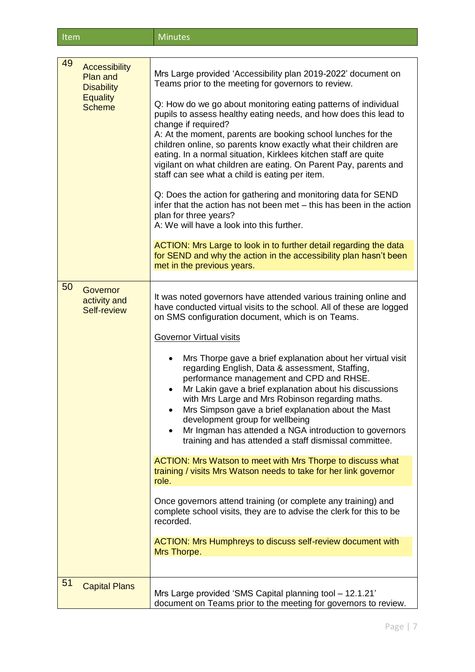| <b>Item</b> | <b>Minutes</b> |
|-------------|----------------|
|-------------|----------------|

| 49<br><b>Accessibility</b><br><b>Plan and</b><br><b>Disability</b><br><b>Equality</b><br><b>Scheme</b> | Mrs Large provided 'Accessibility plan 2019-2022' document on<br>Teams prior to the meeting for governors to review.<br>Q: How do we go about monitoring eating patterns of individual<br>pupils to assess healthy eating needs, and how does this lead to<br>change if required?<br>A: At the moment, parents are booking school lunches for the<br>children online, so parents know exactly what their children are<br>eating. In a normal situation, Kirklees kitchen staff are quite<br>vigilant on what children are eating. On Parent Pay, parents and<br>staff can see what a child is eating per item.<br>Q: Does the action for gathering and monitoring data for SEND<br>infer that the action has not been met - this has been in the action<br>plan for three years?<br>A: We will have a look into this further.<br>ACTION: Mrs Large to look in to further detail regarding the data<br>for SEND and why the action in the accessibility plan hasn't been<br>met in the previous years.                                                                                                   |
|--------------------------------------------------------------------------------------------------------|---------------------------------------------------------------------------------------------------------------------------------------------------------------------------------------------------------------------------------------------------------------------------------------------------------------------------------------------------------------------------------------------------------------------------------------------------------------------------------------------------------------------------------------------------------------------------------------------------------------------------------------------------------------------------------------------------------------------------------------------------------------------------------------------------------------------------------------------------------------------------------------------------------------------------------------------------------------------------------------------------------------------------------------------------------------------------------------------------------|
|                                                                                                        |                                                                                                                                                                                                                                                                                                                                                                                                                                                                                                                                                                                                                                                                                                                                                                                                                                                                                                                                                                                                                                                                                                         |
| 50<br>Governor<br>activity and<br>Self-review                                                          | It was noted governors have attended various training online and<br>have conducted virtual visits to the school. All of these are logged<br>on SMS configuration document, which is on Teams.<br><b>Governor Virtual visits</b><br>Mrs Thorpe gave a brief explanation about her virtual visit<br>regarding English, Data & assessment, Staffing,<br>performance management and CPD and RHSE.<br>Mr Lakin gave a brief explanation about his discussions<br>with Mrs Large and Mrs Robinson regarding maths.<br>Mrs Simpson gave a brief explanation about the Mast<br>development group for wellbeing<br>Mr Ingman has attended a NGA introduction to governors<br>training and has attended a staff dismissal committee.<br>ACTION: Mrs Watson to meet with Mrs Thorpe to discuss what<br>training / visits Mrs Watson needs to take for her link governor<br>role.<br>Once governors attend training (or complete any training) and<br>complete school visits, they are to advise the clerk for this to be<br>recorded.<br>ACTION: Mrs Humphreys to discuss self-review document with<br>Mrs Thorpe. |
| 51<br><b>Capital Plans</b>                                                                             |                                                                                                                                                                                                                                                                                                                                                                                                                                                                                                                                                                                                                                                                                                                                                                                                                                                                                                                                                                                                                                                                                                         |
|                                                                                                        | Mrs Large provided 'SMS Capital planning tool - 12.1.21'<br>document on Teams prior to the meeting for governors to review.                                                                                                                                                                                                                                                                                                                                                                                                                                                                                                                                                                                                                                                                                                                                                                                                                                                                                                                                                                             |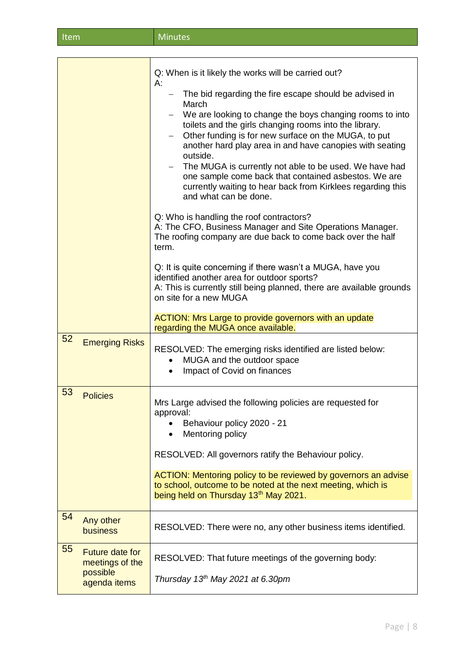| Item | Minutes |
|------|---------|
|      |         |

|    |                                                                       | Q: When is it likely the works will be carried out?<br>A:<br>The bid regarding the fire escape should be advised in<br>March<br>We are looking to change the boys changing rooms to into<br>toilets and the girls changing rooms into the library.<br>Other funding is for new surface on the MUGA, to put<br>$\qquad \qquad -$<br>another hard play area in and have canopies with seating<br>outside.<br>The MUGA is currently not able to be used. We have had<br>one sample come back that contained asbestos. We are<br>currently waiting to hear back from Kirklees regarding this<br>and what can be done.<br>Q: Who is handling the roof contractors?<br>A: The CFO, Business Manager and Site Operations Manager.<br>The roofing company are due back to come back over the half<br>term.<br>Q: It is quite concerning if there wasn't a MUGA, have you<br>identified another area for outdoor sports?<br>A: This is currently still being planned, there are available grounds<br>on site for a new MUGA<br>ACTION: Mrs Large to provide governors with an update<br>regarding the MUGA once available. |
|----|-----------------------------------------------------------------------|-------------------------------------------------------------------------------------------------------------------------------------------------------------------------------------------------------------------------------------------------------------------------------------------------------------------------------------------------------------------------------------------------------------------------------------------------------------------------------------------------------------------------------------------------------------------------------------------------------------------------------------------------------------------------------------------------------------------------------------------------------------------------------------------------------------------------------------------------------------------------------------------------------------------------------------------------------------------------------------------------------------------------------------------------------------------------------------------------------------------|
| 52 | <b>Emerging Risks</b>                                                 | RESOLVED: The emerging risks identified are listed below:<br>MUGA and the outdoor space<br>$\bullet$<br>Impact of Covid on finances<br>$\bullet$                                                                                                                                                                                                                                                                                                                                                                                                                                                                                                                                                                                                                                                                                                                                                                                                                                                                                                                                                                  |
| 53 | <b>Policies</b>                                                       | Mrs Large advised the following policies are requested for<br>approval:<br>Behaviour policy 2020 - 21<br>Mentoring policy<br>RESOLVED: All governors ratify the Behaviour policy.<br>ACTION: Mentoring policy to be reviewed by governors an advise<br>to school, outcome to be noted at the next meeting, which is<br>being held on Thursday 13th May 2021.                                                                                                                                                                                                                                                                                                                                                                                                                                                                                                                                                                                                                                                                                                                                                      |
| 54 | Any other<br><b>business</b>                                          | RESOLVED: There were no, any other business items identified.                                                                                                                                                                                                                                                                                                                                                                                                                                                                                                                                                                                                                                                                                                                                                                                                                                                                                                                                                                                                                                                     |
| 55 | <b>Future date for</b><br>meetings of the<br>possible<br>agenda items | RESOLVED: That future meetings of the governing body:<br>Thursday 13 <sup>th</sup> May 2021 at 6.30pm                                                                                                                                                                                                                                                                                                                                                                                                                                                                                                                                                                                                                                                                                                                                                                                                                                                                                                                                                                                                             |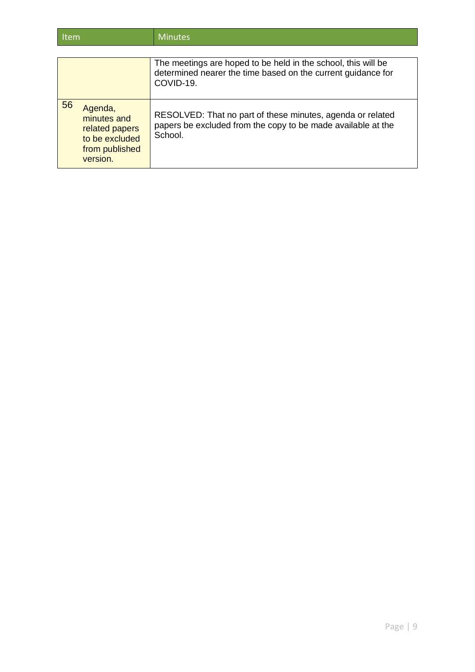| ltem | <b>Minutes</b> |
|------|----------------|
|      |                |

|    |                                                                                          | The meetings are hoped to be held in the school, this will be<br>determined nearer the time based on the current guidance for<br>COVID-19. |
|----|------------------------------------------------------------------------------------------|--------------------------------------------------------------------------------------------------------------------------------------------|
| 56 | Agenda,<br>minutes and<br>related papers<br>to be excluded<br>from published<br>version. | RESOLVED: That no part of these minutes, agenda or related<br>papers be excluded from the copy to be made available at the<br>School.      |